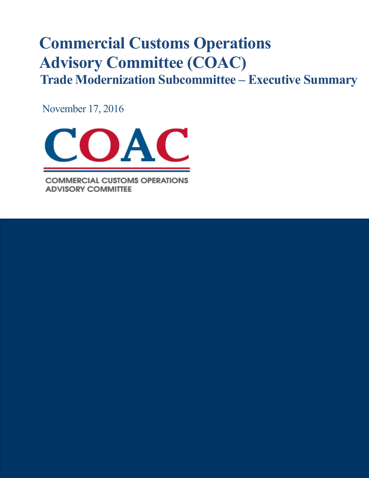# **Commercial Customs Operations Advisory Committee (COAC) Trade Modernization Subcommittee – Executive Summary**

November 17, 2016



**COMMERCIAL CUSTOMS OPERATIONS ADVISORY COMMITTEE**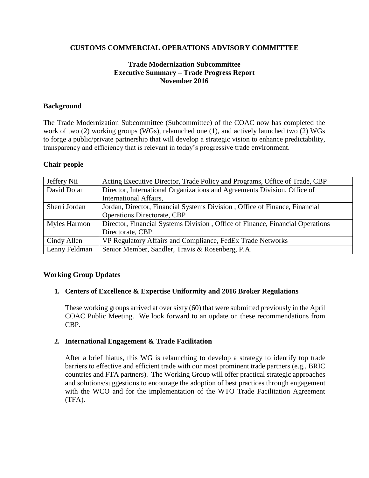## **CUSTOMS COMMERCIAL OPERATIONS ADVISORY COMMITTEE**

# **Trade Modernization Subcommittee Executive Summary – Trade Progress Report November 2016**

## **Background**

The Trade Modernization Subcommittee (Subcommittee) of the COAC now has completed the work of two (2) working groups (WGs), relaunched one (1), and actively launched two (2) WGs to forge a public/private partnership that will develop a strategic vision to enhance predictability, transparency and efficiency that is relevant in today's progressive trade environment.

## **Chair people**

| Jeffery Nii   | Acting Executive Director, Trade Policy and Programs, Office of Trade, CBP    |
|---------------|-------------------------------------------------------------------------------|
| David Dolan   | Director, International Organizations and Agreements Division, Office of      |
|               | <b>International Affairs,</b>                                                 |
| Sherri Jordan | Jordan, Director, Financial Systems Division, Office of Finance, Financial    |
|               | <b>Operations Directorate, CBP</b>                                            |
| Myles Harmon  | Director, Financial Systems Division, Office of Finance, Financial Operations |
|               | Directorate, CBP                                                              |
| Cindy Allen   | VP Regulatory Affairs and Compliance, FedEx Trade Networks                    |
| Lenny Feldman | Senior Member, Sandler, Travis & Rosenberg, P.A.                              |

#### **Working Group Updates**

#### **1. Centers of Excellence & Expertise Uniformity and 2016 Broker Regulations**

These working groups arrived at over sixty (60) that were submitted previously in the April COAC Public Meeting. We look forward to an update on these recommendations from CBP.

#### **2. International Engagement & Trade Facilitation**

After a brief hiatus, this WG is relaunching to develop a strategy to identify top trade barriers to effective and efficient trade with our most prominent trade partners (e.g., BRIC countries and FTA partners). The Working Group will offer practical strategic approaches and solutions/suggestions to encourage the adoption of best practices through engagement with the WCO and for the implementation of the WTO Trade Facilitation Agreement (TFA).